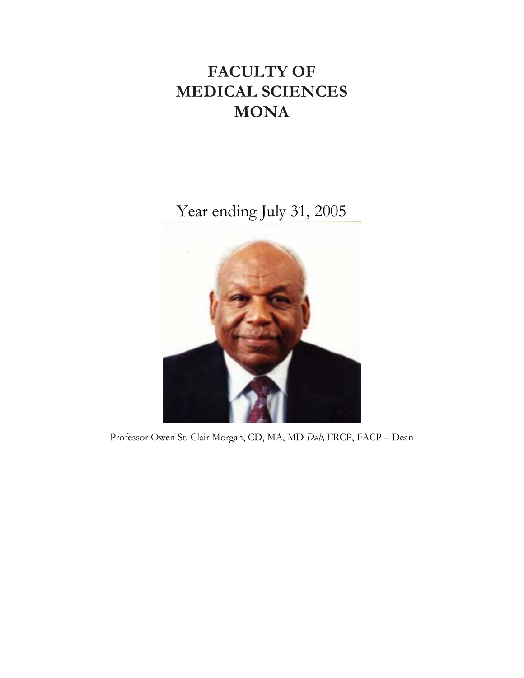# **FACULTY OF MEDICAL SCIENCES MONA**

Year ending July 31, 2005



Professor Owen St. Clair Morgan, CD, MA, MD *Dub,* FRCP, FACP – Dean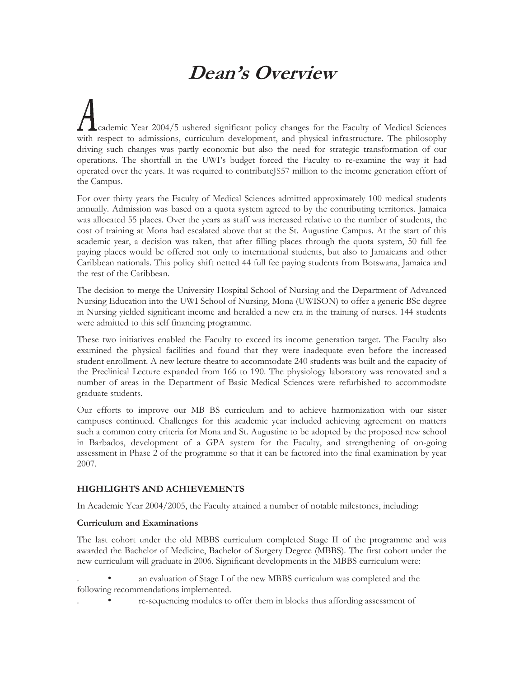# **Dean's Overview**

cademic Year 2004/5 ushered significant policy changes for the Faculty of Medical Sciences with respect to admissions, curriculum development, and physical infrastructure. The philosophy driving such changes was partly economic but also the need for strategic transformation of our operations. The shortfall in the UWI's budget forced the Faculty to re-examine the way it had operated over the years. It was required to contributeJ\$57 million to the income generation effort of the Campus.

For over thirty years the Faculty of Medical Sciences admitted approximately 100 medical students annually. Admission was based on a quota system agreed to by the contributing territories. Jamaica was allocated 55 places. Over the years as staff was increased relative to the number of students, the cost of training at Mona had escalated above that at the St. Augustine Campus. At the start of this academic year, a decision was taken, that after filling places through the quota system, 50 full fee paying places would be offered not only to international students, but also to Jamaicans and other Caribbean nationals. This policy shift netted 44 full fee paying students from Botswana, Jamaica and the rest of the Caribbean.

The decision to merge the University Hospital School of Nursing and the Department of Advanced Nursing Education into the UWI School of Nursing, Mona (UWISON) to offer a generic BSc degree in Nursing yielded significant income and heralded a new era in the training of nurses. 144 students were admitted to this self financing programme.

These two initiatives enabled the Faculty to exceed its income generation target. The Faculty also examined the physical facilities and found that they were inadequate even before the increased student enrollment. A new lecture theatre to accommodate 240 students was built and the capacity of the Preclinical Lecture expanded from 166 to 190. The physiology laboratory was renovated and a number of areas in the Department of Basic Medical Sciences were refurbished to accommodate graduate students.

Our efforts to improve our MB BS curriculum and to achieve harmonization with our sister campuses continued. Challenges for this academic year included achieving agreement on matters such a common entry criteria for Mona and St. Augustine to be adopted by the proposed new school in Barbados, development of a GPA system for the Faculty, and strengthening of on-going assessment in Phase 2 of the programme so that it can be factored into the final examination by year 2007.

# **HIGHLIGHTS AND ACHIEVEMENTS**

In Academic Year 2004/2005, the Faculty attained a number of notable milestones, including:

# **Curriculum and Examinations**

The last cohort under the old MBBS curriculum completed Stage II of the programme and was awarded the Bachelor of Medicine, Bachelor of Surgery Degree (MBBS). The first cohort under the new curriculum will graduate in 2006. Significant developments in the MBBS curriculum were:

an evaluation of Stage I of the new MBBS curriculum was completed and the following recommendations implemented.

. • re-sequencing modules to offer them in blocks thus affording assessment of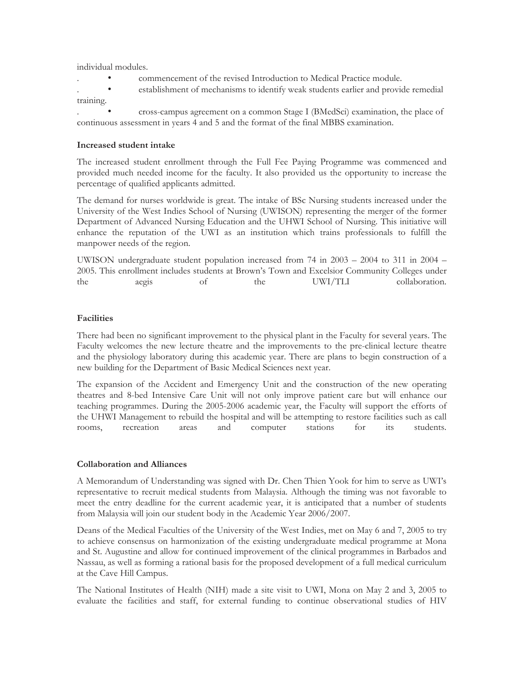individual modules.

- . commencement of the revised Introduction to Medical Practice module.
- establishment of mechanisms to identify weak students earlier and provide remedial training.

. • cross-campus agreement on a common Stage I (BMedSci) examination, the place of continuous assessment in years 4 and 5 and the format of the final MBBS examination.

#### **Increased student intake**

The increased student enrollment through the Full Fee Paying Programme was commenced and provided much needed income for the faculty. It also provided us the opportunity to increase the percentage of qualified applicants admitted.

The demand for nurses worldwide is great. The intake of BSc Nursing students increased under the University of the West Indies School of Nursing (UWISON) representing the merger of the former Department of Advanced Nursing Education and the UHWI School of Nursing. This initiative will enhance the reputation of the UWI as an institution which trains professionals to fulfill the manpower needs of the region.

UWISON undergraduate student population increased from 74 in 2003 – 2004 to 311 in 2004 – 2005. This enrollment includes students at Brown's Town and Excelsior Community Colleges under the aegis of the UWI/TLI collaboration.

# **Facilities**

There had been no significant improvement to the physical plant in the Faculty for several years. The Faculty welcomes the new lecture theatre and the improvements to the pre-clinical lecture theatre and the physiology laboratory during this academic year. There are plans to begin construction of a new building for the Department of Basic Medical Sciences next year.

The expansion of the Accident and Emergency Unit and the construction of the new operating theatres and 8-bed Intensive Care Unit will not only improve patient care but will enhance our teaching programmes. During the 2005-2006 academic year, the Faculty will support the efforts of the UHWI Management to rebuild the hospital and will be attempting to restore facilities such as call rooms, recreation areas and computer stations for its students.

#### **Collaboration and Alliances**

A Memorandum of Understanding was signed with Dr. Chen Thien Yook for him to serve as UWI's representative to recruit medical students from Malaysia. Although the timing was not favorable to meet the entry deadline for the current academic year, it is anticipated that a number of students from Malaysia will join our student body in the Academic Year 2006/2007.

Deans of the Medical Faculties of the University of the West Indies, met on May 6 and 7, 2005 to try to achieve consensus on harmonization of the existing undergraduate medical programme at Mona and St. Augustine and allow for continued improvement of the clinical programmes in Barbados and Nassau, as well as forming a rational basis for the proposed development of a full medical curriculum at the Cave Hill Campus.

The National Institutes of Health (NIH) made a site visit to UWI, Mona on May 2 and 3, 2005 to evaluate the facilities and staff, for external funding to continue observational studies of HIV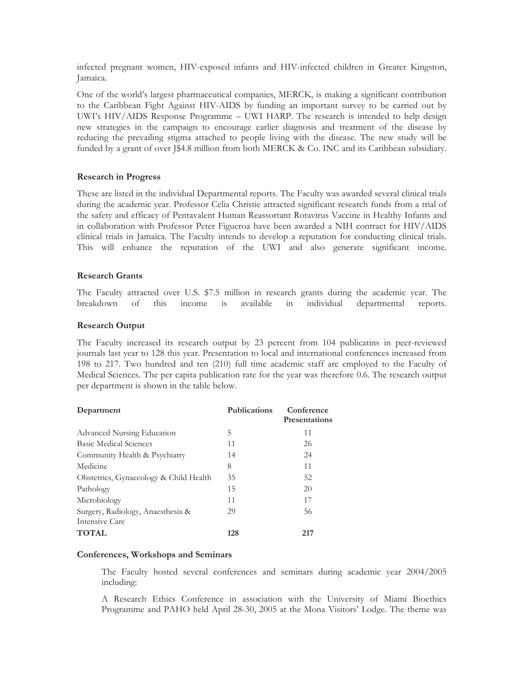infected pregnant women, HIV-exposed infants and HIV-infected children in Greater Kingston, Jamaica.

One of the world's largest pharmaceutical companies, MERCK, is making a significant contribution to the Caribbean Fight Against HIV-AIDS by funding an important survey to be carried out by UWI's HIV/AIDS Response Programme – UWI HARP. The research is intended to help design new strategies in the campaign to encourage earlier diagnosis and treatment of the disease by reducing the prevailing stigma attached to people living with the disease. The new study will be funded by a grant of over J\$4.8 million from both MERCK & Co. INC and its Caribbean subsidiary.

## **Research in Progress**

These are listed in the individual Departmental reports. The Faculty was awarded several clinical trials during the academic year. Professor Celia Christie attracted significant research funds from a trial of the safety and efficacy of Pentavalent Human Reassortant Rotavirus Vaccine in Healthy Infants and in collaboration with Professor Peter Figueroa have been awarded a NIH contract for HIV/AIDS clinical trials in Jamaica. The Faculty intends to develop a reputation for conducting clinical trials. This will enhance the reputation of the UWI and also generate significant income.

#### **Research Grants**

The Faculty attracted over U.S. \$7.5 million in research grants during the academic year. The breakdown of this income is available in individual departmental reports.

#### **Research Output**

The Faculty increased its research output by 23 percent from 104 publicatins in peer-reviewed journals last year to 128 this year. Presentation to local and international conferences increased from 198 to 217. Two hundred and ten (210) full time academic staff are employed to the Faculty of Medical Sciences. The per capita publication rate for the year was therefore 0.6. The research output per department is shown in the table below.

| Department                             | <b>Publications</b> | Conference<br><b>Presentations</b> |  |
|----------------------------------------|---------------------|------------------------------------|--|
| Advanced Nursing Education             | 5                   | 11                                 |  |
| Basic Medical Sciences                 | 11                  | 26                                 |  |
| Community Health & Psychiatry          | 14                  | 24                                 |  |
| Medicine                               | 8                   | 11                                 |  |
| Obstetrics, Gynaecology & Child Health | 35                  | 52                                 |  |
| Pathology                              | 15                  | 20                                 |  |
| Microbiology                           | 11                  | 17                                 |  |
| Surgery, Radiology, Anaesthesia &      | 29                  | 56                                 |  |
| Intensive Care                         |                     |                                    |  |
| <b>TOTAL</b>                           | 128                 | 217                                |  |

#### **Conferences, Workshops and Seminars**

The Faculty hosted several conferences and seminars during academic year 2004/2005 including:

A Research Ethics Conference in association with the University of Miami Bioethics Programme and PAHO held April 28-30, 2005 at the Mona Visitors' Lodge. The theme was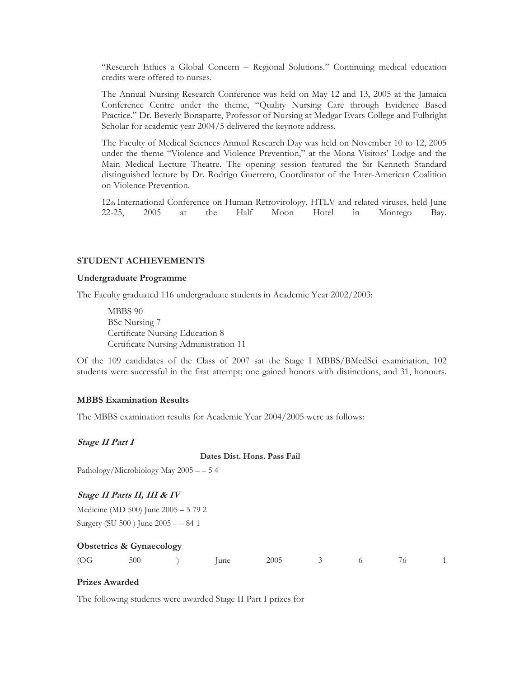"Research Ethics a Global Concern – Regional Solutions." Continuing medical education credits were offered to nurses.

The Annual Nursing Research Conference was held on May 12 and 13, 2005 at the Jamaica Conference Centre under the theme, "Quality Nursing Care through Evidence Based Practice." Dr. Beverly Bonaparte, Professor of Nursing at Medgar Evars College and Fulbright Scholar for academic year 2004/5 delivered the keynote address.

The Faculty of Medical Sciences Annual Research Day was held on November 10 to 12, 2005 under the theme "Violence and Violence Prevention," at the Mona Visitors' Lodge and the Main Medical Lecture Theatre. The opening session featured the Sir Kenneth Standard distinguished lecture by Dr. Rodrigo Guerrero, Coordinator of the Inter-American Coalition on Violence Prevention.

12th International Conference on Human Retrovirology, HTLV and related viruses, held June 22-25, 2005 at the Half Moon Hotel in Montego Bay.

#### **STUDENT ACHIEVEMENTS**

#### **Undergraduate Programme**

The Faculty graduated 116 undergraduate students in Academic Year 2002/2003:

MBBS 90 BSc Nursing 7 Certificate Nursing Education 8 Certificate Nursing Administration 11

Of the 109 candidates of the Class of 2007 sat the Stage I MBBS/BMedSci examination, 102 students were successful in the first attempt; one gained honors with distinctions, and 31, honours.

#### **MBBS Examination Results**

The MBBS examination results for Academic Year 2004/2005 were as follows:

#### **Stage II Part I**

#### **Dates Dist. Hons. Pass Fail**

Pathology/Microbiology May 2005 – – 5 4

#### **Stage II Parts II, III & IV**

Medicine (MD 500) June 2005 – 5 79 2 Surgery (SU 500 ) June 2005 – – 84 1

#### **Obstetrics & Gynaecology**

| $\sqrt{OG}$ 500 |  | 2005 3 6 76 1 |
|-----------------|--|---------------|
|-----------------|--|---------------|

#### **Prizes Awarded**

The following students were awarded Stage II Part I prizes for